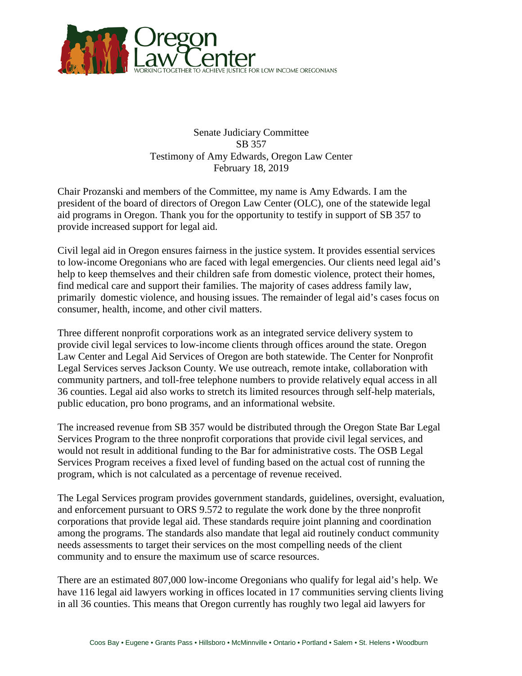

Senate Judiciary Committee SB 357 Testimony of Amy Edwards, Oregon Law Center February 18, 2019

Chair Prozanski and members of the Committee, my name is Amy Edwards. I am the president of the board of directors of Oregon Law Center (OLC), one of the statewide legal aid programs in Oregon. Thank you for the opportunity to testify in support of SB 357 to provide increased support for legal aid.

Civil legal aid in Oregon ensures fairness in the justice system. It provides essential services to low-income Oregonians who are faced with legal emergencies. Our clients need legal aid's help to keep themselves and their children safe from domestic violence, protect their homes, find medical care and support their families. The majority of cases address family law, primarily domestic violence, and housing issues. The remainder of legal aid's cases focus on consumer, health, income, and other civil matters.

Three different nonprofit corporations work as an integrated service delivery system to provide civil legal services to low-income clients through offices around the state. Oregon Law Center and Legal Aid Services of Oregon are both statewide. The Center for Nonprofit Legal Services serves Jackson County. We use outreach, remote intake, collaboration with community partners, and toll-free telephone numbers to provide relatively equal access in all 36 counties. Legal aid also works to stretch its limited resources through self-help materials, public education, pro bono programs, and an informational website.

The increased revenue from SB 357 would be distributed through the Oregon State Bar Legal Services Program to the three nonprofit corporations that provide civil legal services, and would not result in additional funding to the Bar for administrative costs. The OSB Legal Services Program receives a fixed level of funding based on the actual cost of running the program, which is not calculated as a percentage of revenue received.

The Legal Services program provides government standards, guidelines, oversight, evaluation, and enforcement pursuant to ORS 9.572 to regulate the work done by the three nonprofit corporations that provide legal aid. These standards require joint planning and coordination among the programs. The standards also mandate that legal aid routinely conduct community needs assessments to target their services on the most compelling needs of the client community and to ensure the maximum use of scarce resources.

There are an estimated 807,000 low-income Oregonians who qualify for legal aid's help. We have 116 legal aid lawyers working in offices located in 17 communities serving clients living in all 36 counties. This means that Oregon currently has roughly two legal aid lawyers for